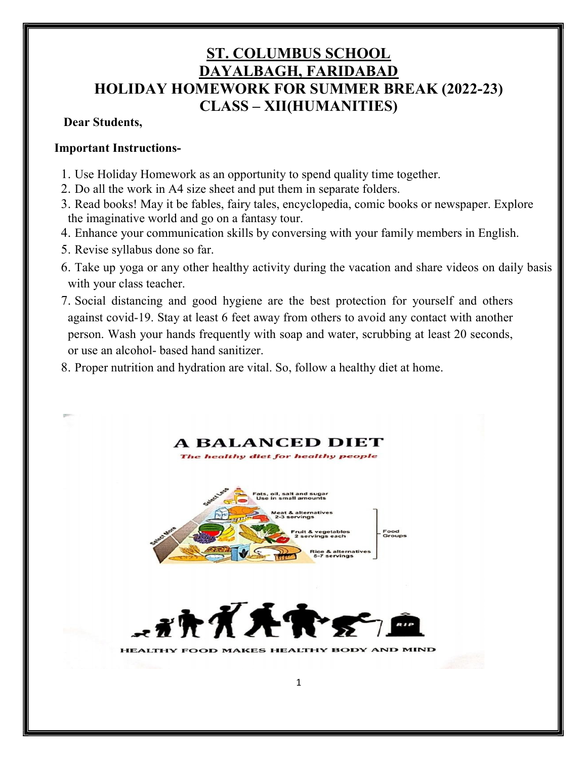# ST. COLUMBUS SCHOOL DAYALBAGH, FARIDABAD HOLIDAY HOMEWORK FOR SUMMER BREAK (2022-23) CLASS – XII(HUMANITIES)

# Dear Students,

# Important Instructions-

- 1. Use Holiday Homework as an opportunity to spend quality time together.
- 2. Do all the work in A4 size sheet and put them in separate folders.
- 3. Read books! May it be fables, fairy tales, encyclopedia, comic books or newspaper. Explore the imaginative world and go on a fantasy tour.
- 4. Enhance your communication skills by conversing with your family members in English.
- 5. Revise syllabus done so far.
- 6. Take up yoga or any other healthy activity during the vacation and share videos on daily basis with your class teacher.
- 7. Social distancing and good hygiene are the best protection for yourself and others against covid-19. Stay at least 6 feet away from others to avoid any contact with another person. Wash your hands frequently with soap and water, scrubbing at least 20 seconds, or use an alcohol- based hand sanitizer.
- 8. Proper nutrition and hydration are vital. So, follow a healthy diet at home.

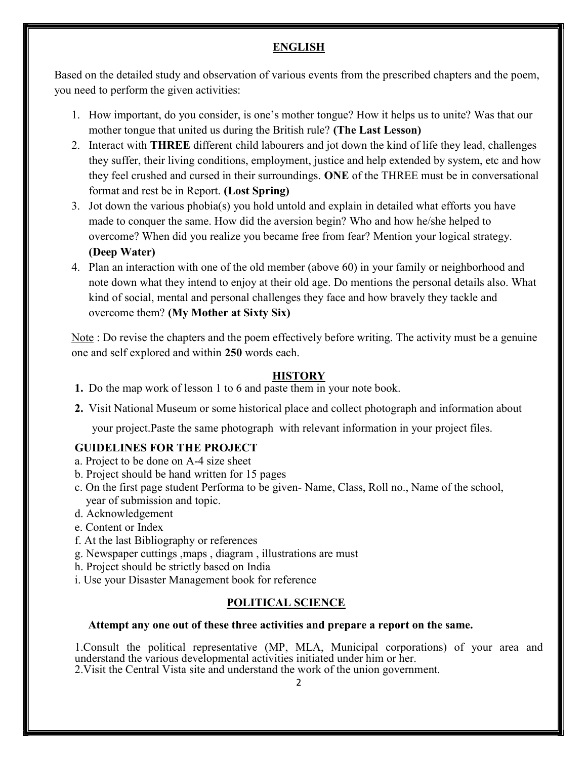# ENGLISH

Based on the detailed study and observation of various events from the prescribed chapters and the poem, you need to perform the given activities:

- 1. How important, do you consider, is one's mother tongue? How it helps us to unite? Was that our mother tongue that united us during the British rule? (The Last Lesson)
- 2. Interact with THREE different child labourers and jot down the kind of life they lead, challenges they suffer, their living conditions, employment, justice and help extended by system, etc and how they feel crushed and cursed in their surroundings. ONE of the THREE must be in conversational format and rest be in Report. (Lost Spring)
- 3. Jot down the various phobia(s) you hold untold and explain in detailed what efforts you have made to conquer the same. How did the aversion begin? Who and how he/she helped to overcome? When did you realize you became free from fear? Mention your logical strategy. (Deep Water)
- 4. Plan an interaction with one of the old member (above 60) in your family or neighborhood and note down what they intend to enjoy at their old age. Do mentions the personal details also. What kind of social, mental and personal challenges they face and how bravely they tackle and overcome them? (My Mother at Sixty Six)

Note : Do revise the chapters and the poem effectively before writing. The activity must be a genuine one and self explored and within 250 words each.

# **HISTORY**

- 1. Do the map work of lesson 1 to 6 and paste them in your note book.
- 2. Visit National Museum or some historical place and collect photograph and information about

your project.Paste the same photograph with relevant information in your project files.

# GUIDELINES FOR THE PROJECT

- a. Project to be done on A-4 size sheet
- b. Project should be hand written for 15 pages
- c. On the first page student Performa to be given- Name, Class, Roll no., Name of the school, year of submission and topic.
- d. Acknowledgement
- e. Content or Index
- f. At the last Bibliography or references
- g. Newspaper cuttings ,maps , diagram , illustrations are must
- h. Project should be strictly based on India
- i. Use your Disaster Management book for reference

### POLITICAL SCIENCE

### Attempt any one out of these three activities and prepare a report on the same.

1.Consult the political representative (MP, MLA, Municipal corporations) of your area and understand the various developmental activities initiated under him or her. 2.Visit the Central Vista site and understand the work of the union government.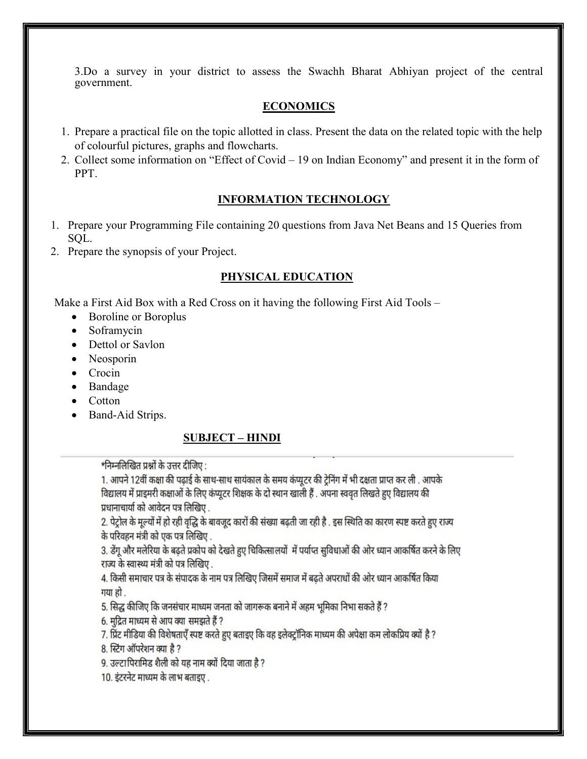3.Do a survey in your district to assess the Swachh Bharat Abhiyan project of the central government.

# ECONOMICS

- 1. Prepare a practical file on the topic allotted in class. Present the data on the related topic with the help of colourful pictures, graphs and flowcharts.
- 2. Collect some information on "Effect of Covid 19 on Indian Economy" and present it in the form of PPT.

# INFORMATION TECHNOLOGY

- 1. Prepare your Programming File containing 20 questions from Java Net Beans and 15 Queries from SQL.
- 2. Prepare the synopsis of your Project.

# PHYSICAL EDUCATION

Make a First Aid Box with a Red Cross on it having the following First Aid Tools –

- Boroline or Boroplus
- Soframycin
- Dettol or Savlon
- Neosporin
- Crocin
- Bandage
- Cotton
- Band-Aid Strips.

# SUBJECT – HINDI

# \*निम्नलिखित प्रश्नों के उत्तर दीजिए :

1. आपने 12वीं कक्षा की पढ़ाई के साथ-साथ सायंकाल के समय कंप्यूटर की ट्रेनिंग में भी दक्षता प्राप्त कर ली . आपके विद्यालय में प्राइमरी कक्षाओं के लिए कंप्यूटर शिक्षक के दो स्थान खाली हैं . अपना स्ववृत लिखते हुए विद्यालय की प्रधानाचार्या को आवेदन पत्र लिखिए .

2. पेट्रोल के मूल्यों में हो रही वृद्धि के बावजूद कारों की संख्या बढ़ती जा रही है . इस स्थिति का कारण स्पष्ट करते हुए राज्य के परिवहन मंत्री को एक पत्र लिखिए .

3. डेंगू और मलेरिया के बढते प्रकोप को देखते हुए चिकित्सालयों में पर्याप्त सुविधाओं की ओर ध्यान आकर्षित करने के लिए राज्य के स्वास्थ्य मंत्री को पत्र लिखिए .

4. किसी समाचार पत्र के संपादक के नाम पत्र लिखिए जिसमें समाज में बढ़ते अपराधों की ओर ध्यान आकर्षित किया गया हो ।

5. सिद्ध कीजिए कि जनसंचार माध्यम जनता को जागरूक बनाने में अहम भूमिका निभा सकते हैं ?

6. मुद्रित माध्यम से आप क्या समझते हैं ?

7. प्रिंट मीडिया की विशेषताएँ स्पष्ट करते हुए बताइए कि वह इलेक्ट्रॉनिक माध्यम की अपेक्षा कम लोकप्रिय क्यों है ?

8. स्टिंग ऑपरेशन क्या है ?

9. उल्टापिरामिड शैली को यह नाम क्यों दिया जाता है ?

10. इंटरनेट माध्यम के लाभ बताइए.